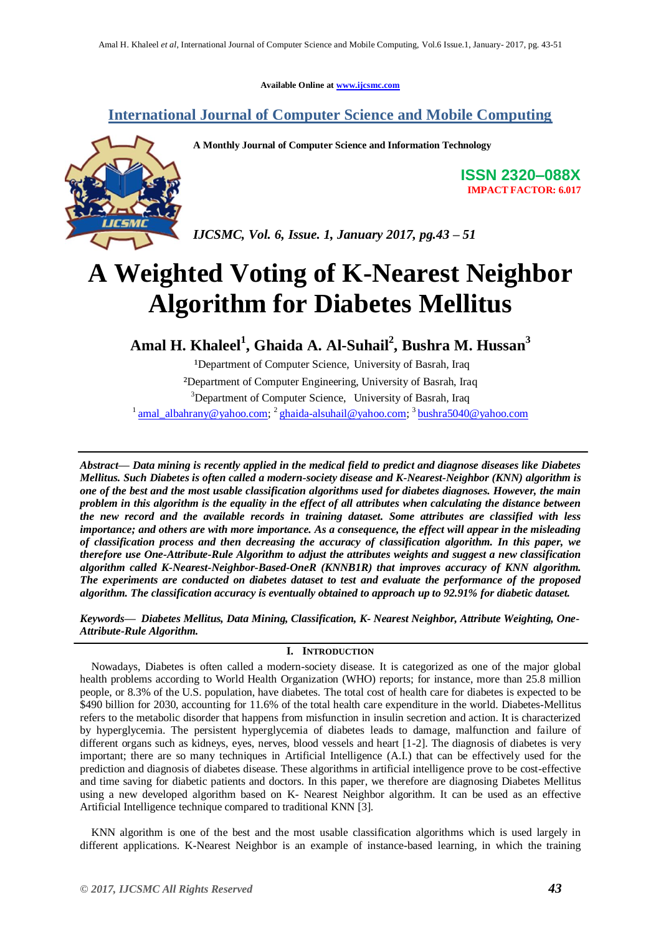**Available Online at [www.ijcsmc.com](http://www.ijcsmc.com/)**

## **International Journal of Computer Science and Mobile Computing**



**A Monthly Journal of Computer Science and Information Technology**

**ISSN 2320–088X IMPACT FACTOR: 6.017**

*IJCSMC, Vol. 6, Issue. 1, January 2017, pg.43 – 51*

# **A Weighted Voting of K-Nearest Neighbor Algorithm for Diabetes Mellitus**

**Amal H. Khaleel<sup>1</sup> , Ghaida A. Al-Suhail<sup>2</sup> , Bushra M. Hussan<sup>3</sup>**

<sup>1</sup>Department of Computer Science, University of Basrah, Iraq ²Department of Computer Engineering, University of Basrah, Iraq <sup>3</sup>Department of Computer Science, University of Basrah, Iraq <sup>1</sup> [amal\\_albahrany@yahoo.com;](mailto:amal_albahrany@yahoo.com)<sup>2</sup> [ghaida-alsuhail@yahoo.com;](mailto:ghaida-alsuhail@yahoo.com)<sup>3</sup> [bushra5040@yahoo.com](mailto:bushra5040@yahoo.com)

*Abstract— Data mining is recently applied in the medical field to predict and diagnose diseases like Diabetes Mellitus. Such Diabetes is often called a modern-society disease and K-Nearest-Neighbor (KNN) algorithm is one of the best and the most usable classification algorithms used for diabetes diagnoses. However, the main problem in this algorithm is the equality in the effect of all attributes when calculating the distance between the new record and the available records in training dataset. Some attributes are classified with less importance; and others are with more importance. As a consequence, the effect will appear in the misleading of classification process and then decreasing the accuracy of classification algorithm. In this paper, we therefore use One-Attribute-Rule Algorithm to adjust the attributes weights and suggest a new classification algorithm called K-Nearest-Neighbor-Based-OneR (KNNB1R) that improves accuracy of KNN algorithm. The experiments are conducted on diabetes dataset to test and evaluate the performance of the proposed algorithm. The classification accuracy is eventually obtained to approach up to 92.91% for diabetic dataset.*

*Keywords— Diabetes Mellitus, Data Mining, Classification, K- Nearest Neighbor, Attribute Weighting, One-Attribute-Rule Algorithm.*

#### **I. INTRODUCTION**

 Nowadays, Diabetes is often called a modern-society disease. It is categorized as one of the major global health problems according to World Health Organization (WHO) reports; for instance, more than 25.8 million people, or 8.3% of the U.S. population, have diabetes. The total cost of health care for diabetes is expected to be \$490 billion for 2030, accounting for 11.6% of the total health care expenditure in the world. Diabetes-Mellitus refers to the metabolic disorder that happens from misfunction in insulin secretion and action. It is characterized by hyperglycemia. The persistent hyperglycemia of diabetes leads to damage, malfunction and failure of different organs such as kidneys, eyes, nerves, blood vessels and heart [1-2]. The diagnosis of diabetes is very important; there are so many techniques in Artificial Intelligence (A.I.) that can be effectively used for the prediction and diagnosis of diabetes disease. These algorithms in artificial intelligence prove to be cost-effective and time saving for diabetic patients and doctors. In this paper, we therefore are diagnosing Diabetes Mellitus using a new developed algorithm based on K- Nearest Neighbor algorithm. It can be used as an effective Artificial Intelligence technique compared to traditional KNN [3].

 KNN algorithm is one of the best and the most usable classification algorithms which is used largely in different applications. K-Nearest Neighbor is an example of instance-based learning, in which the training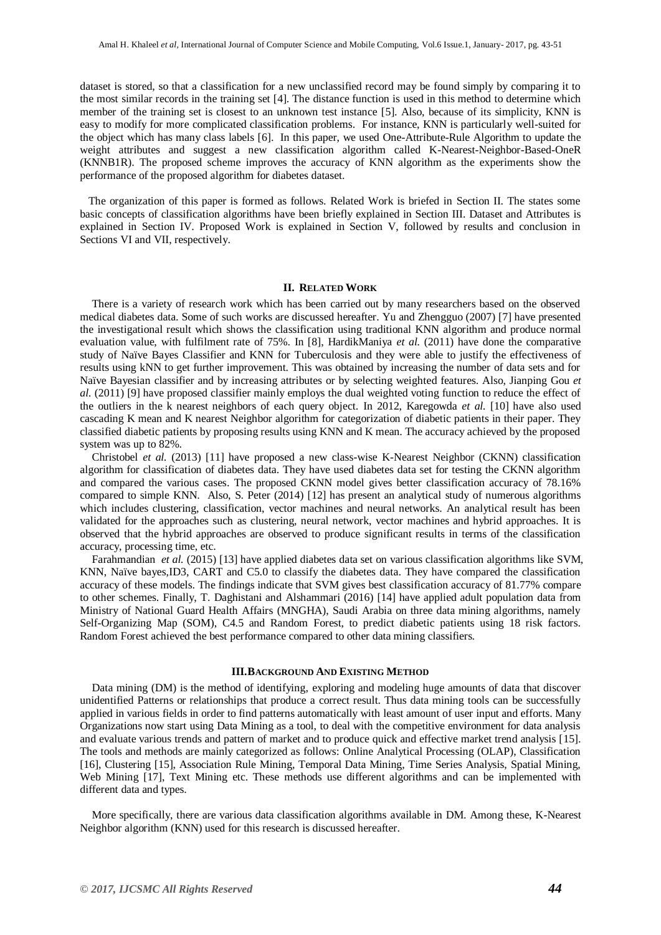dataset is stored, so that a classification for a new unclassified record may be found simply by comparing it to the most similar records in the training set [4]. The distance function is used in this method to determine which member of the training set is closest to an unknown test instance [5]. Also, because of its simplicity, KNN is easy to modify for more complicated classification problems. For instance, KNN is particularly well-suited for the object which has many class labels [6]. In this paper, we used One-Attribute-Rule Algorithm to update the weight attributes and suggest a new classification algorithm called K-Nearest-Neighbor-Based-OneR (KNNB1R). The proposed scheme improves the accuracy of KNN algorithm as the experiments show the performance of the proposed algorithm for diabetes dataset.

 The organization of this paper is formed as follows. Related Work is briefed in Section II. The states some basic concepts of classification algorithms have been briefly explained in Section III. Dataset and Attributes is explained in Section IV. Proposed Work is explained in Section V, followed by results and conclusion in Sections VI and VII, respectively.

#### **II. RELATED WORK**

There is a variety of research work which has been carried out by many researchers based on the observed medical diabetes data. Some of such works are discussed hereafter. Yu and Zhengguo (2007) [7] have presented the investigational result which shows the classification using traditional KNN algorithm and produce normal evaluation value, with fulfilment rate of 75%. In [8], HardikManiya *et al.* (2011) have done the comparative study of Naïve Bayes Classifier and KNN for Tuberculosis and they were able to justify the effectiveness of results using kNN to get further improvement. This was obtained by increasing the number of data sets and for Naïve Bayesian classifier and by increasing attributes or by selecting weighted features. Also, Jianping Gou *et al.* (2011) [9] have proposed classifier mainly employs the dual weighted voting function to reduce the effect of the outliers in the k nearest neighbors of each query object. In 2012, Karegowda *et al.* [10] have also used cascading K mean and K nearest Neighbor algorithm for categorization of diabetic patients in their paper. They classified diabetic patients by proposing results using KNN and K mean. The accuracy achieved by the proposed system was up to 82%.

Christobel *et al.* (2013) [11] have proposed a new class-wise K-Nearest Neighbor (CKNN) classification algorithm for classification of diabetes data. They have used diabetes data set for testing the CKNN algorithm and compared the various cases. The proposed CKNN model gives better classification accuracy of 78.16% compared to simple KNN. Also, S. Peter (2014) [12] has present an analytical study of numerous algorithms which includes clustering, classification, vector machines and neural networks. An analytical result has been validated for the approaches such as clustering, neural network, vector machines and hybrid approaches. It is observed that the hybrid approaches are observed to produce significant results in terms of the classification accuracy, processing time, etc.

Farahmandian *et al.* (2015) [13] have applied diabetes data set on various classification algorithms like SVM, KNN, Naïve bayes,ID3, CART and C5.0 to classify the diabetes data. They have compared the classification accuracy of these models. The findings indicate that SVM gives best classification accuracy of 81.77% compare to other schemes. Finally, T. Daghistani and Alshammari (2016) [14] have applied adult population data from Ministry of National Guard Health Affairs (MNGHA), Saudi Arabia on three data mining algorithms, namely Self-Organizing Map (SOM), C4.5 and Random Forest, to predict diabetic patients using 18 risk factors. Random Forest achieved the best performance compared to other data mining classifiers.

#### **III.BACKGROUND AND EXISTING METHOD**

Data mining (DM) is the method of identifying, exploring and modeling huge amounts of data that discover unidentified Patterns or relationships that produce a correct result. Thus data mining tools can be successfully applied in various fields in order to find patterns automatically with least amount of user input and efforts. Many Organizations now start using Data Mining as a tool, to deal with the competitive environment for data analysis and evaluate various trends and pattern of market and to produce quick and effective market trend analysis [15]. The tools and methods are mainly categorized as follows: Online Analytical Processing (OLAP), Classification [16], Clustering [15], Association Rule Mining, Temporal Data Mining, Time Series Analysis, Spatial Mining, Web Mining [17], Text Mining etc. These methods use different algorithms and can be implemented with different data and types.

More specifically, there are various data classification algorithms available in DM. Among these, K-Nearest Neighbor algorithm (KNN) used for this research is discussed hereafter.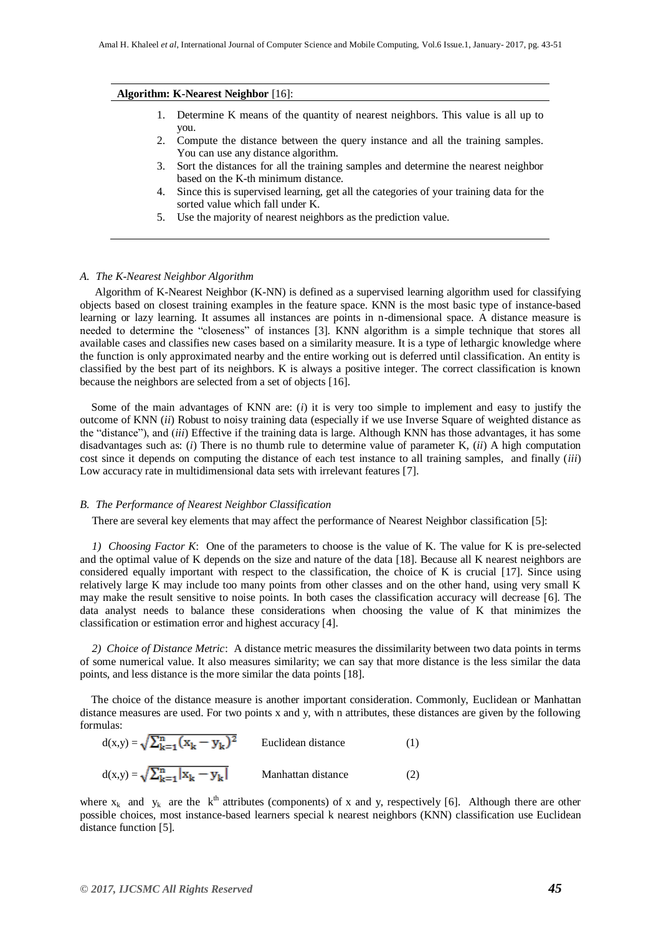#### **Algorithm: K-Nearest Neighbor** [16]:

- 1. Determine K means of the quantity of nearest neighbors. This value is all up to you.
- 2. Compute the distance between the query instance and all the training samples. You can use any distance algorithm.
- 3. Sort the distances for all the training samples and determine the nearest neighbor based on the K-th minimum distance.
- 4. Since this is supervised learning, get all the categories of your training data for the sorted value which fall under K.
- 5. Use the majority of nearest neighbors as the prediction value.

#### *A. The K-Nearest Neighbor Algorithm*

Algorithm of K-Nearest Neighbor (K-NN) is defined as a supervised learning algorithm used for classifying objects based on closest training examples in the feature space. KNN is the most basic type of instance-based learning or lazy learning. It assumes all instances are points in n-dimensional space. A distance measure is needed to determine the "closeness" of instances [3]. KNN algorithm is a simple technique that stores all available cases and classifies new cases based on a similarity measure. It is a type of lethargic knowledge where the function is only approximated nearby and the entire working out is deferred until classification. An entity is classified by the best part of its neighbors. K is always a positive integer. The correct classification is known because the neighbors are selected from a set of objects [16].

 Some of the main advantages of KNN are: (*i*) it is very too simple to implement and easy to justify the outcome of KNN (*ii*) Robust to noisy training data (especially if we use Inverse Square of weighted distance as the "distance"), and (*iii*) Effective if the training data is large. Although KNN has those advantages, it has some disadvantages such as: (*i*) There is no thumb rule to determine value of parameter K, (*ii*) A high computation cost since it depends on computing the distance of each test instance to all training samples, and finally (*iii*) Low accuracy rate in multidimensional data sets with irrelevant features [7].

#### *B. The Performance of Nearest Neighbor Classification*

There are several key elements that may affect the performance of Nearest Neighbor classification [5]:

*1) Choosing Factor K*: One of the parameters to choose is the value of K. The value for K is pre-selected and the optimal value of K depends on the size and nature of the data [18]. Because all K nearest neighbors are considered equally important with respect to the classification, the choice of K is crucial [17]. Since using relatively large K may include too many points from other classes and on the other hand, using very small K may make the result sensitive to noise points. In both cases the classification accuracy will decrease [6]. The data analyst needs to balance these considerations when choosing the value of K that minimizes the classification or estimation error and highest accuracy [4].

*2) Choice of Distance Metric*: A distance metric measures the dissimilarity between two data points in terms of some numerical value. It also measures similarity; we can say that more distance is the less similar the data points, and less distance is the more similar the data points [18].

 The choice of the distance measure is another important consideration. Commonly, Euclidean or Manhattan distance measures are used. For two points x and y, with n attributes, these distances are given by the following formulas:

| $d(x,y) = \sqrt{\sum_{k=1}^{n} (x_k - y_k)^2}$ | Euclidean distance | (1) |
|------------------------------------------------|--------------------|-----|
| $d(x,y) = \sqrt{\sum_{k=1}^{n}  x_k - y_k }$   | Manhattan distance | (2) |

where  $x_k$  and  $y_k$  are the  $k^{th}$  attributes (components) of x and y, respectively [6]. Although there are other possible choices, most instance-based learners special k nearest neighbors (KNN) classification use Euclidean distance function [5].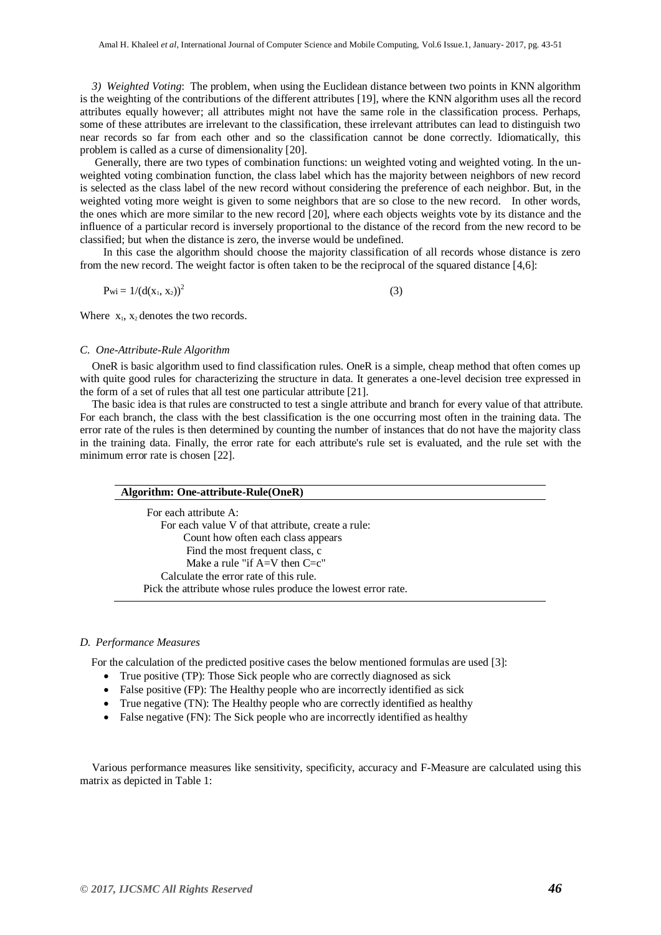*3) Weighted Voting*: The problem, when using the Euclidean distance between two points in KNN algorithm is the weighting of the contributions of the different attributes [19], where the KNN algorithm uses all the record attributes equally however; all attributes might not have the same role in the classification process. Perhaps, some of these attributes are irrelevant to the classification, these irrelevant attributes can lead to distinguish two near records so far from each other and so the classification cannot be done correctly. Idiomatically, this problem is called as a curse of dimensionality [20].

Generally, there are two types of combination functions: un weighted voting and weighted voting. In the unweighted voting combination function, the class label which has the majority between neighbors of new record is selected as the class label of the new record without considering the preference of each neighbor. But, in the weighted voting more weight is given to some neighbors that are so close to the new record. In other words, the ones which are more similar to the new record [20], where each objects weights vote by its distance and the influence of a particular record is inversely proportional to the distance of the record from the new record to be classified; but when the distance is zero, the inverse would be undefined.

 In this case the algorithm should choose the majority classification of all records whose distance is zero from the new record. The weight factor is often taken to be the reciprocal of the squared distance [4,6]:

$$
Pwi = 1/(d(x_1, x_2))^2
$$
 (3)

Where  $x_1$ ,  $x_2$  denotes the two records.

#### *C. One-Attribute-Rule Algorithm*

OneR is basic algorithm used to find classification rules. OneR is a simple, cheap method that often comes up with quite good rules for characterizing the structure in data. It generates a one-level decision tree expressed in the form of a set of rules that all test one particular attribute [21].

The basic idea is that rules are constructed to test a single attribute and branch for every value of that attribute. For each branch, the class with the best classification is the one occurring most often in the training data. The error rate of the rules is then determined by counting the number of instances that do not have the majority class in the training data. Finally, the error rate for each attribute's rule set is evaluated, and the rule set with the minimum error rate is chosen [22].

| For each attribute A:                                         |  |
|---------------------------------------------------------------|--|
| For each value V of that attribute, create a rule:            |  |
| Count how often each class appears                            |  |
| Find the most frequent class, c                               |  |
| Make a rule "if $A=V$ then $C=c$ "                            |  |
| Calculate the error rate of this rule.                        |  |
| Pick the attribute whose rules produce the lowest error rate. |  |

#### *D. Performance Measures*

For the calculation of the predicted positive cases the below mentioned formulas are used [3]:

- True positive (TP): Those Sick people who are correctly diagnosed as sick
- False positive (FP): The Healthy people who are incorrectly identified as sick
- True negative (TN): The Healthy people who are correctly identified as healthy
- False negative (FN): The Sick people who are incorrectly identified as healthy

Various performance measures like sensitivity, specificity, accuracy and F-Measure are calculated using this matrix as depicted in Table 1: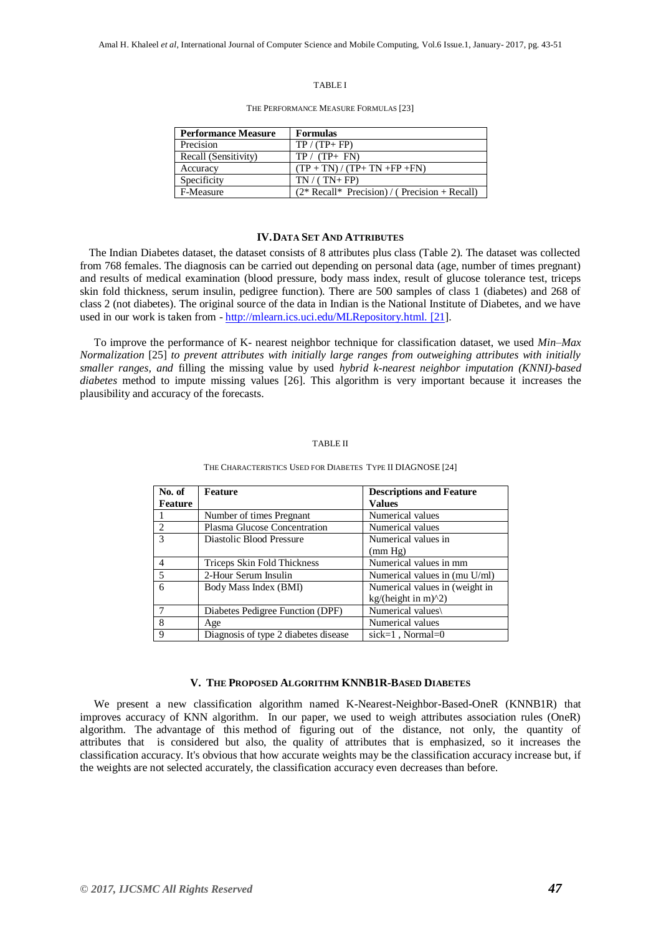#### TABLE I

THE PERFORMANCE MEASURE FORMULAS [23]

| <b>Performance Measure</b> | <b>Formulas</b>                                    |
|----------------------------|----------------------------------------------------|
| Precision                  | $TP / (TP + FP)$                                   |
| Recall (Sensitivity)       | $TP / (TP + FN)$                                   |
| Accuracy                   | $(TP + TN) / (TP + TN + FP + FN)$                  |
| Specificity                | $TN/(TN+FP)$                                       |
| F-Measure                  | $(2 * Recall * Precision) / ( Precision + Recall)$ |

#### **IV.DATA SET AND ATTRIBUTES**

 The Indian Diabetes dataset, the dataset consists of 8 attributes plus class (Table 2). The dataset was collected from 768 females. The diagnosis can be carried out depending on personal data (age, number of times pregnant) and results of medical examination (blood pressure, body mass index, result of glucose tolerance test, triceps skin fold thickness, serum insulin, pedigree function). There are 500 samples of class 1 (diabetes) and 268 of class 2 (not diabetes). The original source of the data in Indian is the National Institute of Diabetes, and we have used in our work is taken from - [http://mlearn.ics.uci.edu/MLRepository.html. \[21\]](http://mlearn.ics.uci.edu/MLRepository.html.%20%5b21).

 To improve the performance of K- nearest neighbor technique for classification dataset, we used *Min–Max Normalization* [25] *to prevent attributes with initially large ranges from outweighing attributes with initially smaller ranges, and* filling the missing value by used *hybrid k-nearest neighbor imputation (KNNI)-based diabetes* method to impute missing values [26]. This algorithm is very important because it increases the plausibility and accuracy of the forecasts.

#### TABLE II

| No. of        | <b>Feature</b>                       | <b>Descriptions and Feature</b> |
|---------------|--------------------------------------|---------------------------------|
| Feature       |                                      | <b>Values</b>                   |
|               | Number of times Pregnant             | Numerical values                |
| 2             | Plasma Glucose Concentration         | Numerical values                |
| $\mathcal{R}$ | Diastolic Blood Pressure             | Numerical values in             |
|               |                                      | (mm Hg)                         |
| 4             | Triceps Skin Fold Thickness          | Numerical values in mm          |
| -5            | 2-Hour Serum Insulin                 | Numerical values in (mu U/ml)   |
| 6             | Body Mass Index (BMI)                | Numerical values in (weight in  |
|               |                                      | kg/(height in m) $\binom{2}{2}$ |
|               | Diabetes Pedigree Function (DPF)     | Numerical values\               |
| 8             | Age                                  | Numerical values                |
| 9             | Diagnosis of type 2 diabetes disease | sick=1, Normal= $0$             |

#### THE CHARACTERISTICS USED FOR DIABETES TYPE II DIAGNOSE [24]

#### **V. THE PROPOSED ALGORITHM KNNB1R-BASED DIABETES**

 We present a new classification algorithm named K-Nearest-Neighbor-Based-OneR (KNNB1R) that improves accuracy of KNN algorithm. In our paper, we used to weigh attributes association rules (OneR) algorithm. The advantage of this method of figuring out of the distance, not only, the quantity of attributes that is considered but also, the quality of attributes that is emphasized, so it increases the classification accuracy. It's obvious that how accurate weights may be the classification accuracy increase but, if the weights are not selected accurately, the classification accuracy even decreases than before.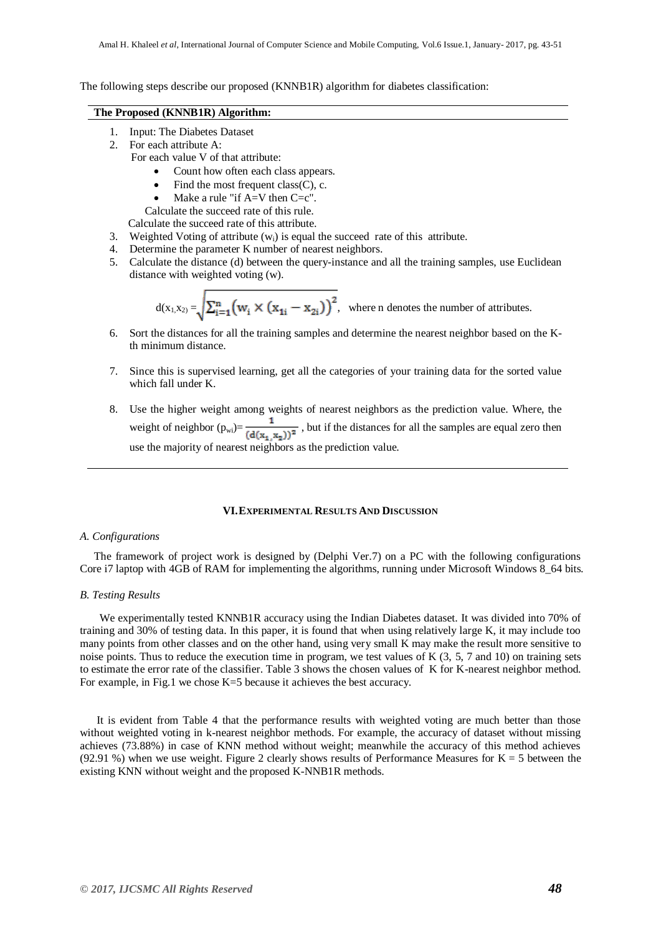The following steps describe our proposed (KNNB1R) algorithm for diabetes classification:

#### **The Proposed (KNNB1R) Algorithm:**

- 1. Input: The Diabetes Dataset
- 2. For each attribute A:
	- For each value V of that attribute:
		- Count how often each class appears.
		- $\bullet$  Find the most frequent class(C), c.
		- Make a rule "if  $A=V$  then  $C=C$ ".

Calculate the succeed rate of this rule.

Calculate the succeed rate of this attribute.

- 3. Weighted Voting of attribute  $(w_i)$  is equal the succeed rate of this attribute.
- 4. Determine the parameter K number of nearest neighbors.
- 5. Calculate the distance (d) between the query-instance and all the training samples, use Euclidean distance with weighted voting (w).

$$
d(x_{1,}x_{2}) = \sqrt{\sum_{i=1}^{n} (w_i \times (x_{1i} - x_{2i}))^2}
$$
, where n denotes the number of attributes.

- 6. Sort the distances for all the training samples and determine the nearest neighbor based on the Kth minimum distance.
- 7. Since this is supervised learning, get all the categories of your training data for the sorted value which fall under K.
- 8. Use the higher weight among weights of nearest neighbors as the prediction value. Where, the weight of neighbor  $(p_{wi}) = \frac{1}{(d(x_1, x_2))^2}$ , but if the distances for all the samples are equal zero then use the majority of nearest neighbors as the prediction value.

#### **VI.EXPERIMENTAL RESULTS AND DISCUSSION**

#### *A. Configurations*

 The framework of project work is designed by (Delphi Ver.7) on a PC with the following configurations Core i7 laptop with 4GB of RAM for implementing the algorithms, running under Microsoft Windows 8\_64 bits.

#### *B. Testing Results*

 We experimentally tested KNNB1R accuracy using the Indian Diabetes dataset. It was divided into 70% of training and 30% of testing data. In this paper, it is found that when using relatively large K, it may include too many points from other classes and on the other hand, using very small K may make the result more sensitive to noise points. Thus to reduce the execution time in program, we test values of K  $(3, 5, 7, 7, 100)$  on training sets to estimate the error rate of the classifier. Table 3 shows the chosen values of K for K-nearest neighbor method. For example, in Fig.1 we chose K=5 because it achieves the best accuracy.

 It is evident from Table 4 that the performance results with weighted voting are much better than those without weighted voting in k-nearest neighbor methods. For example, the accuracy of dataset without missing achieves (73.88%) in case of KNN method without weight; meanwhile the accuracy of this method achieves (92.91 %) when we use weight. Figure 2 clearly shows results of Performance Measures for  $K = 5$  between the existing KNN without weight and the proposed K-NNB1R methods.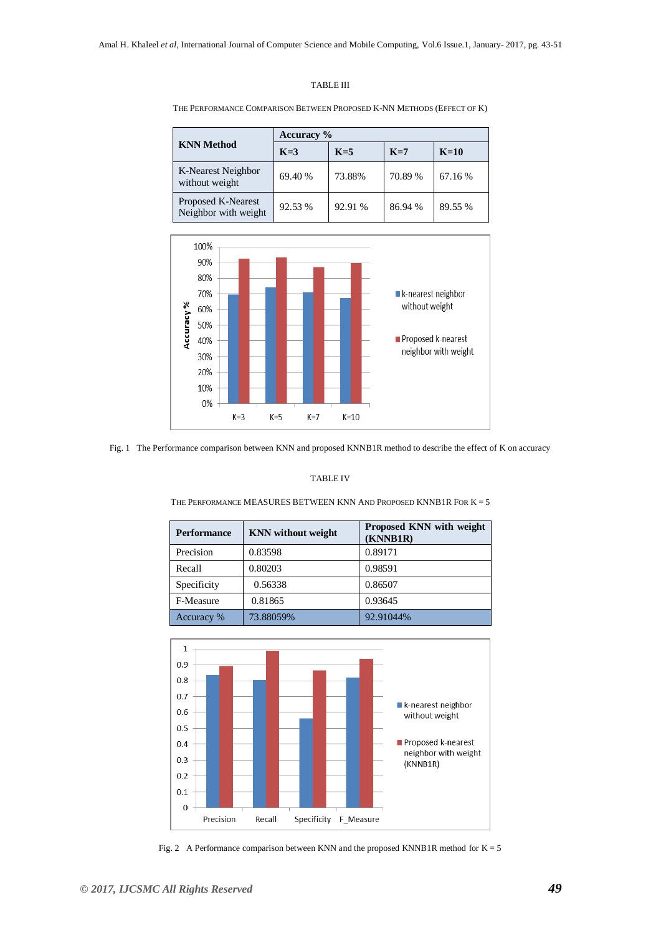#### TABLE III

THE PERFORMANCE COMPARISON BETWEEN PROPOSED K-NN METHODS (EFFECT OF K)

|                                            | <b>Accuracy</b> % |         |         |         |
|--------------------------------------------|-------------------|---------|---------|---------|
| <b>KNN Method</b>                          | $K=3$             | $K=5$   | $K=7$   | $K=10$  |
| K-Nearest Neighbor<br>without weight       | 69.40 %           | 73.88%  | 70.89 % | 67.16 % |
| Proposed K-Nearest<br>Neighbor with weight | 92.53 %           | 92.91 % | 86.94 % | 89.55 % |



Fig. 1 The Performance comparison between KNN and proposed KNNB1R method to describe the effect of K on accuracy

#### TABLE IV

THE PERFORMANCE MEASURES BETWEEN KNN AND PROPOSED KNNB1R FOR  $K = 5$ 

| <b>Performance</b> | <b>KNN</b> without weight | <b>Proposed KNN with weight</b><br>(KNNB1R) |
|--------------------|---------------------------|---------------------------------------------|
| Precision          | 0.83598                   | 0.89171                                     |
| Recall             | 0.80203                   | 0.98591                                     |
| Specificity        | 0.56338                   | 0.86507                                     |
| F-Measure          | 0.81865                   | 0.93645                                     |
| Accuracy %         | 73.88059%                 | 92.91044%                                   |



Fig. 2 A Performance comparison between KNN and the proposed KNNB1R method for  $K = 5$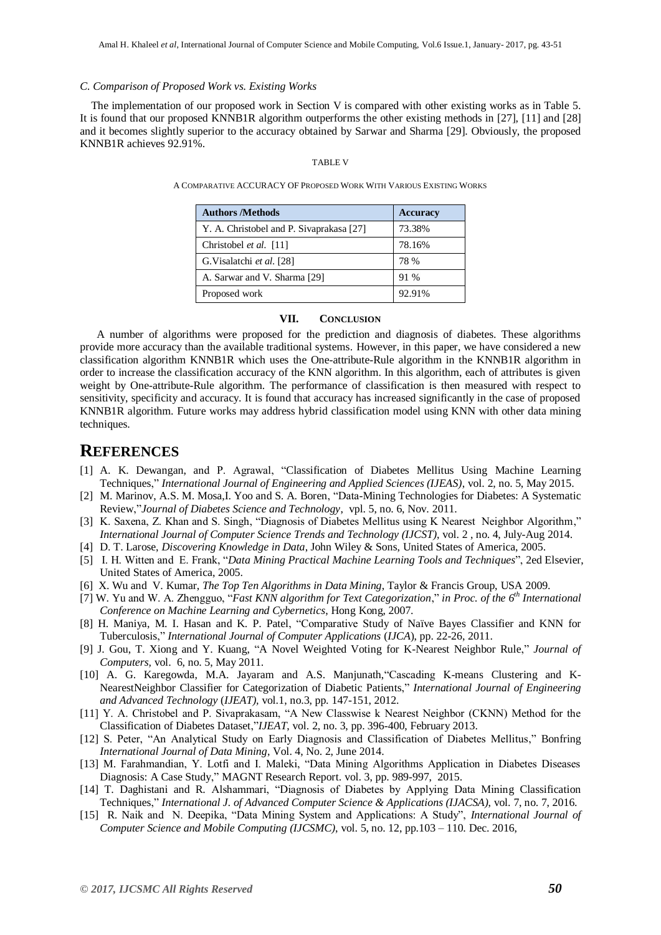#### *C. Comparison of Proposed Work vs. Existing Works*

 The implementation of our proposed work in Section V is compared with other existing works as in Table 5. It is found that our proposed KNNB1R algorithm outperforms the other existing methods in [27], [11] and [28] and it becomes slightly superior to the accuracy obtained by Sarwar and Sharma [29]. Obviously, the proposed KNNB1R achieves 92.91%.

#### TABLE V

A COMPARATIVE ACCURACY OF PROPOSED WORK WITH VARIOUS EXISTING WORKS

| <b>Authors /Methods</b>                  | <b>Accuracy</b> |
|------------------------------------------|-----------------|
| Y. A. Christobel and P. Sivaprakasa [27] | 73.38%          |
| Christobel et al. [11]                   | 78.16%          |
| G. Visalatchi et al. [28]                | 78 %            |
| A. Sarwar and V. Sharma [29]             | 91 %            |
| Proposed work                            | 92.91%          |

#### **VII. CONCLUSION**

 A number of algorithms were proposed for the prediction and diagnosis of diabetes. These algorithms provide more accuracy than the available traditional systems. However, in this paper, we have considered a new classification algorithm KNNB1R which uses the One-attribute-Rule algorithm in the KNNB1R algorithm in order to increase the classification accuracy of the KNN algorithm. In this algorithm, each of attributes is given weight by One-attribute-Rule algorithm. The performance of classification is then measured with respect to sensitivity, specificity and accuracy. It is found that accuracy has increased significantly in the case of proposed KNNB1R algorithm. Future works may address hybrid classification model using KNN with other data mining techniques.

### **REFERENCES**

- [1] A. K. Dewangan, and P. Agrawal, "Classification of Diabetes Mellitus Using Machine Learning Techniques," *International Journal of Engineering and Applied Sciences (IJEAS)*, vol. 2, no. 5, May 2015.
- [2] M. Marinov, A.S. M. Mosa,I. Yoo and S. A. Boren, "Data-Mining Technologies for Diabetes: A Systematic Review,"*Journal of Diabetes Science and Technology*, vpl. 5, no. 6, Nov. 2011.
- [3] K. Saxena, Z. Khan and S. Singh, "Diagnosis of Diabetes Mellitus using K Nearest Neighbor Algorithm," *International Journal of Computer Science Trends and Technology (IJCST)*, vol. 2 , no. 4, July-Aug 2014.
- [4] D. T. Larose, *Discovering Knowledge in Data*, John Wiley & Sons, United States of America, 2005.
- [5] I. H. Witten and E. Frank, "*Data Mining Practical Machine Learning Tools and Techniques*", 2ed Elsevier, United States of America, 2005.
- [6] X. Wu and V. Kumar, *The Top Ten Algorithms in Data Mining*, Taylor & Francis Group, USA 2009.
- [7] W. Yu and W. A. Zhengguo, "*Fast KNN algorithm for Text Categorization*," *in Proc. of the 6 th International Conference on Machine Learning and Cybernetics*, Hong Kong, 2007.
- [8] H. Maniya, M. I. Hasan and K. P. Patel, "Comparative Study of Naïve Bayes Classifier and KNN for Tuberculosis," *International Journal of Computer Applications* (*IJCA*), pp. 22-26, 2011.
- [9] J. Gou, T. Xiong and Y. Kuang, "A Novel Weighted Voting for K-Nearest Neighbor Rule," *Journal of Computers,* vol. 6, no. 5, May 2011.
- [10] A. G. Karegowda, M.A. Jayaram and A.S. Manjunath,"Cascading K-means Clustering and K-NearestNeighbor Classifier for Categorization of Diabetic Patients," *International Journal of Engineering and Advanced Technology* (*IJEAT),* vol.1, no.3, pp. 147-151, 2012.
- [11] Y. A. Christobel and P. Sivaprakasam, "A New Classwise k Nearest Neighbor (CKNN) Method for the Classification of Diabetes Dataset,"*IJEAT*, vol. 2, no. 3, pp. 396-400, February 2013.
- [12] S. Peter, "An Analytical Study on Early Diagnosis and Classification of Diabetes Mellitus," Bonfring *International Journal of Data Mining*, Vol. 4, No. 2, June 2014.
- [13] M. Farahmandian, Y. Lotfi and I. Maleki, "Data Mining Algorithms Application in Diabetes Diseases Diagnosis: A Case Study," MAGNT Research Report. vol. 3, pp. 989-997, 2015.
- [14] T. Daghistani and R. Alshammari, "Diagnosis of Diabetes by Applying Data Mining Classification Techniques," *International J. of Advanced Computer Science & Applications (IJACSA)*, vol. 7, no. 7, 2016.
- [15] R. Naik and N. Deepika, "Data Mining System and Applications: A Study", *International Journal of Computer Science and Mobile Computing (IJCSMC)*, vol. 5, no. 12, pp.103 – 110. Dec. 2016,